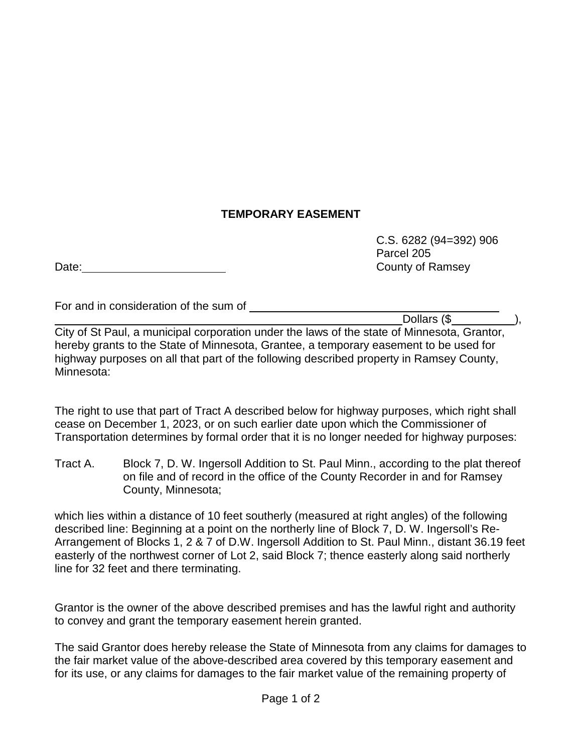## **TEMPORARY EASEMENT**

Date: County of Ramsey

For and in consideration of the sum of

C.S. 6282 (94=392) 906 Parcel 205

Dollars (\$

City of St Paul, a municipal corporation under the laws of the state of Minnesota, Grantor, hereby grants to the State of Minnesota, Grantee, a temporary easement to be used for highway purposes on all that part of the following described property in Ramsey County, Minnesota:

The right to use that part of Tract A described below for highway purposes, which right shall cease on December 1, 2023, or on such earlier date upon which the Commissioner of Transportation determines by formal order that it is no longer needed for highway purposes:

Tract A. Block 7, D. W. Ingersoll Addition to St. Paul Minn., according to the plat thereof on file and of record in the office of the County Recorder in and for Ramsey County, Minnesota;

which lies within a distance of 10 feet southerly (measured at right angles) of the following described line: Beginning at a point on the northerly line of Block 7, D. W. Ingersoll's Re-Arrangement of Blocks 1, 2 & 7 of D.W. Ingersoll Addition to St. Paul Minn., distant 36.19 feet easterly of the northwest corner of Lot 2, said Block 7; thence easterly along said northerly line for 32 feet and there terminating.

Grantor is the owner of the above described premises and has the lawful right and authority to convey and grant the temporary easement herein granted.

The said Grantor does hereby release the State of Minnesota from any claims for damages to the fair market value of the above-described area covered by this temporary easement and for its use, or any claims for damages to the fair market value of the remaining property of